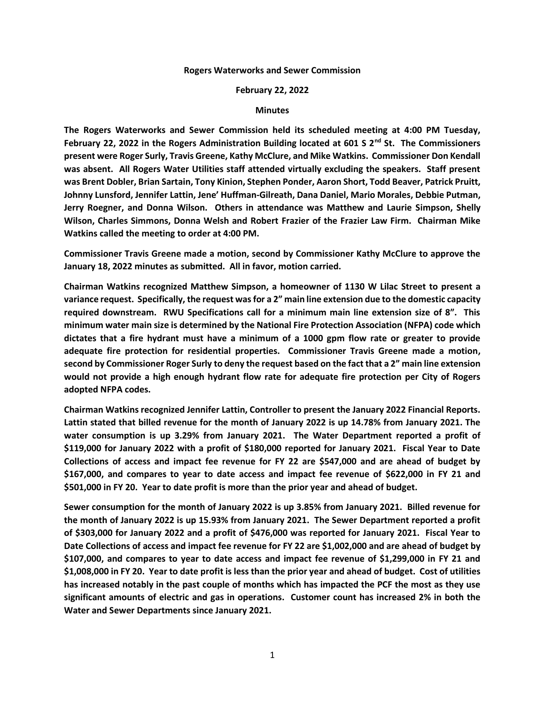## **Rogers Waterworks and Sewer Commission**

## **February 22, 2022**

## **Minutes**

**The Rogers Waterworks and Sewer Commission held its scheduled meeting at 4:00 PM Tuesday, February 22, 2022 in the Rogers Administration Building located at 601 S 2nd St. The Commissioners present were Roger Surly, Travis Greene, Kathy McClure, and Mike Watkins. Commissioner Don Kendall was absent. All Rogers Water Utilities staff attended virtually excluding the speakers. Staff present was Brent Dobler, Brian Sartain, Tony Kinion, Stephen Ponder, Aaron Short, Todd Beaver, Patrick Pruitt, Johnny Lunsford, Jennifer Lattin, Jene' Huffman-Gilreath, Dana Daniel, Mario Morales, Debbie Putman, Jerry Roegner, and Donna Wilson. Others in attendance was Matthew and Laurie Simpson, Shelly Wilson, Charles Simmons, Donna Welsh and Robert Frazier of the Frazier Law Firm. Chairman Mike Watkins called the meeting to order at 4:00 PM.**

**Commissioner Travis Greene made a motion, second by Commissioner Kathy McClure to approve the January 18, 2022 minutes as submitted. All in favor, motion carried.**

**Chairman Watkins recognized Matthew Simpson, a homeowner of 1130 W Lilac Street to present a variance request. Specifically, the request was for a 2" main line extension due to the domestic capacity required downstream. RWU Specifications call for a minimum main line extension size of 8". This minimum water main size is determined by the National Fire Protection Association (NFPA) code which dictates that a fire hydrant must have a minimum of a 1000 gpm flow rate or greater to provide adequate fire protection for residential properties. Commissioner Travis Greene made a motion, second by Commissioner Roger Surly to deny the request based on the fact that a 2" main line extension would not provide a high enough hydrant flow rate for adequate fire protection per City of Rogers adopted NFPA codes.**

**Chairman Watkins recognized Jennifer Lattin, Controller to present the January 2022 Financial Reports. Lattin stated that billed revenue for the month of January 2022 is up 14.78% from January 2021. The water consumption is up 3.29% from January 2021. The Water Department reported a profit of \$119,000 for January 2022 with a profit of \$180,000 reported for January 2021. Fiscal Year to Date Collections of access and impact fee revenue for FY 22 are \$547,000 and are ahead of budget by \$167,000, and compares to year to date access and impact fee revenue of \$622,000 in FY 21 and \$501,000 in FY 20. Year to date profit is more than the prior year and ahead of budget.**

**Sewer consumption for the month of January 2022 is up 3.85% from January 2021. Billed revenue for the month of January 2022 is up 15.93% from January 2021. The Sewer Department reported a profit of \$303,000 for January 2022 and a profit of \$476,000 was reported for January 2021. Fiscal Year to Date Collections of access and impact fee revenue for FY 22 are \$1,002,000 and are ahead of budget by \$107,000, and compares to year to date access and impact fee revenue of \$1,299,000 in FY 21 and \$1,008,000 in FY 20. Year to date profit is less than the prior year and ahead of budget. Cost of utilities has increased notably in the past couple of months which has impacted the PCF the most as they use significant amounts of electric and gas in operations. Customer count has increased 2% in both the Water and Sewer Departments since January 2021.**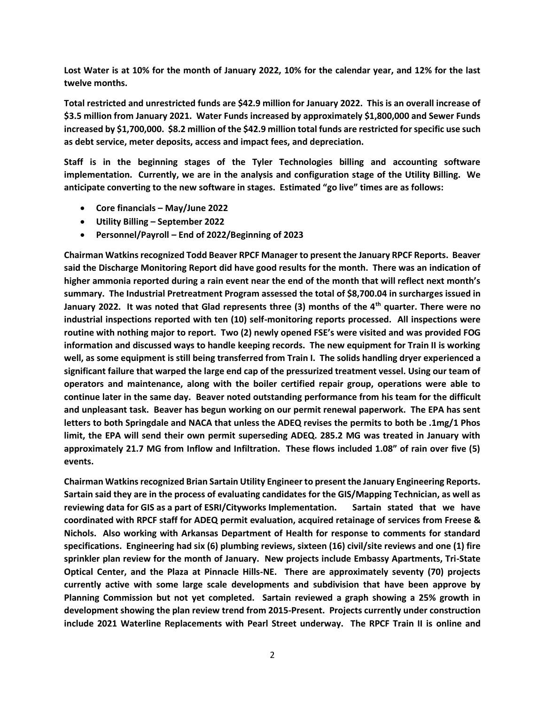**Lost Water is at 10% for the month of January 2022, 10% for the calendar year, and 12% for the last twelve months.**

**Total restricted and unrestricted funds are \$42.9 million for January 2022. This is an overall increase of \$3.5 million from January 2021. Water Funds increased by approximately \$1,800,000 and Sewer Funds increased by \$1,700,000. \$8.2 million of the \$42.9 million total funds are restricted for specific use such as debt service, meter deposits, access and impact fees, and depreciation.**

**Staff is in the beginning stages of the Tyler Technologies billing and accounting software implementation. Currently, we are in the analysis and configuration stage of the Utility Billing. We anticipate converting to the new software in stages. Estimated "go live" times are as follows:**

- **Core financials – May/June 2022**
- **Utility Billing – September 2022**
- **Personnel/Payroll – End of 2022/Beginning of 2023**

**Chairman Watkins recognized Todd Beaver RPCF Manager to present the January RPCF Reports. Beaver said the Discharge Monitoring Report did have good results for the month. There was an indication of higher ammonia reported during a rain event near the end of the month that will reflect next month's summary. The Industrial Pretreatment Program assessed the total of \$8,700.04 in surcharges issued in January 2022. It was noted that Glad represents three (3) months of the 4th quarter. There were no industrial inspections reported with ten (10) self-monitoring reports processed. All inspections were routine with nothing major to report. Two (2) newly opened FSE's were visited and was provided FOG information and discussed ways to handle keeping records. The new equipment for Train II is working well, as some equipment is still being transferred from Train I. The solids handling dryer experienced a significant failure that warped the large end cap of the pressurized treatment vessel. Using our team of operators and maintenance, along with the boiler certified repair group, operations were able to continue later in the same day. Beaver noted outstanding performance from his team for the difficult and unpleasant task. Beaver has begun working on our permit renewal paperwork. The EPA has sent letters to both Springdale and NACA that unless the ADEQ revises the permits to both be .1mg/1 Phos limit, the EPA will send their own permit superseding ADEQ. 285.2 MG was treated in January with approximately 21.7 MG from Inflow and Infiltration. These flows included 1.08" of rain over five (5) events.**

**Chairman Watkins recognized Brian Sartain Utility Engineer to present the January Engineering Reports. Sartain said they are in the process of evaluating candidates for the GIS/Mapping Technician, as well as reviewing data for GIS as a part of ESRI/Cityworks Implementation. Sartain stated that we have coordinated with RPCF staff for ADEQ permit evaluation, acquired retainage of services from Freese & Nichols. Also working with Arkansas Department of Health for response to comments for standard specifications. Engineering had six (6) plumbing reviews, sixteen (16) civil/site reviews and one (1) fire sprinkler plan review for the month of January. New projects include Embassy Apartments, Tri-State Optical Center, and the Plaza at Pinnacle Hills-NE. There are approximately seventy (70) projects currently active with some large scale developments and subdivision that have been approve by Planning Commission but not yet completed. Sartain reviewed a graph showing a 25% growth in development showing the plan review trend from 2015-Present. Projects currently under construction include 2021 Waterline Replacements with Pearl Street underway. The RPCF Train II is online and**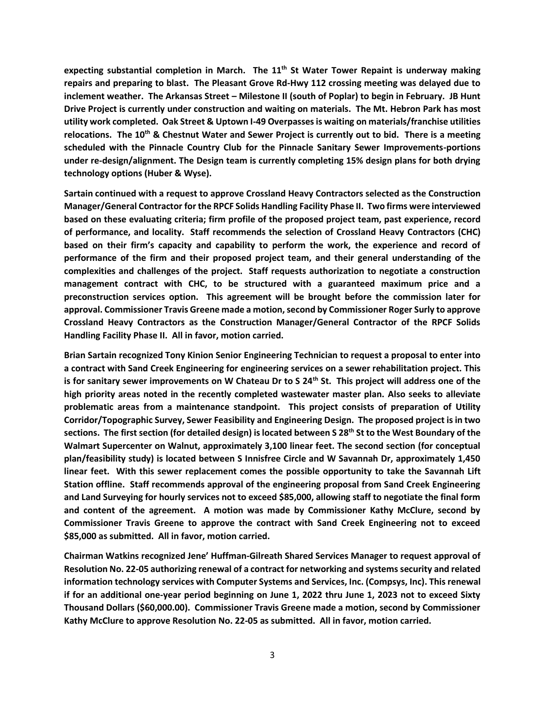**expecting substantial completion in March. The 11th St Water Tower Repaint is underway making repairs and preparing to blast. The Pleasant Grove Rd-Hwy 112 crossing meeting was delayed due to inclement weather. The Arkansas Street – Milestone II (south of Poplar) to begin in February. JB Hunt Drive Project is currently under construction and waiting on materials. The Mt. Hebron Park has most utility work completed. Oak Street & Uptown I-49 Overpasses is waiting on materials/franchise utilities relocations. The 10th & Chestnut Water and Sewer Project is currently out to bid. There is a meeting scheduled with the Pinnacle Country Club for the Pinnacle Sanitary Sewer Improvements-portions under re-design/alignment. The Design team is currently completing 15% design plans for both drying technology options (Huber & Wyse).**

**Sartain continued with a request to approve Crossland Heavy Contractors selected as the Construction Manager/General Contractor for the RPCF Solids Handling Facility Phase II. Two firms were interviewed based on these evaluating criteria; firm profile of the proposed project team, past experience, record of performance, and locality. Staff recommends the selection of Crossland Heavy Contractors (CHC) based on their firm's capacity and capability to perform the work, the experience and record of performance of the firm and their proposed project team, and their general understanding of the complexities and challenges of the project. Staff requests authorization to negotiate a construction management contract with CHC, to be structured with a guaranteed maximum price and a preconstruction services option. This agreement will be brought before the commission later for approval. Commissioner Travis Greene made a motion, second by Commissioner Roger Surly to approve Crossland Heavy Contractors as the Construction Manager/General Contractor of the RPCF Solids Handling Facility Phase II. All in favor, motion carried.**

**Brian Sartain recognized Tony Kinion Senior Engineering Technician to request a proposal to enter into a contract with Sand Creek Engineering for engineering services on a sewer rehabilitation project. This is for sanitary sewer improvements on W Chateau Dr to S 24th St. This project will address one of the high priority areas noted in the recently completed wastewater master plan. Also seeks to alleviate problematic areas from a maintenance standpoint. This project consists of preparation of Utility Corridor/Topographic Survey, Sewer Feasibility and Engineering Design. The proposed project is in two sections. The first section (for detailed design) is located between S 28th St to the West Boundary of the Walmart Supercenter on Walnut, approximately 3,100 linear feet. The second section (for conceptual plan/feasibility study) is located between S Innisfree Circle and W Savannah Dr, approximately 1,450 linear feet. With this sewer replacement comes the possible opportunity to take the Savannah Lift Station offline. Staff recommends approval of the engineering proposal from Sand Creek Engineering and Land Surveying for hourly services not to exceed \$85,000, allowing staff to negotiate the final form and content of the agreement. A motion was made by Commissioner Kathy McClure, second by Commissioner Travis Greene to approve the contract with Sand Creek Engineering not to exceed \$85,000 as submitted. All in favor, motion carried.**

**Chairman Watkins recognized Jene' Huffman-Gilreath Shared Services Manager to request approval of Resolution No. 22-05 authorizing renewal of a contract for networking and systems security and related information technology services with Computer Systems and Services, Inc. (Compsys, Inc). This renewal if for an additional one-year period beginning on June 1, 2022 thru June 1, 2023 not to exceed Sixty Thousand Dollars (\$60,000.00). Commissioner Travis Greene made a motion, second by Commissioner Kathy McClure to approve Resolution No. 22-05 as submitted. All in favor, motion carried.**